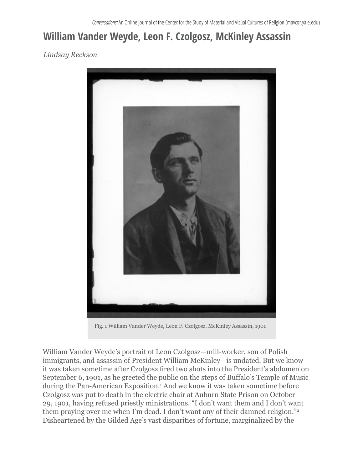## **William Vander Weyde, Leon F. Czolgosz, McKinley Assassin**

*Lindsay Reckson*



Fig. 1 William Vander Weyde, Leon F. Czolgosz, McKinley Assassin, 1901

William Vander Weyde's portrait of Leon Czolgosz—mill-worker, son of Polish immigrants, and assassin of President William McKinley—is undated. But we know it was taken sometime after Czolgosz fired two shots into the President's abdomen on September 6, 1901, as he greeted the public on the steps of Buffalo's Temple of Music during the Pan-American Exposition.<sup>1</sup> And we know it was taken sometime before Czolgosz was put to death in the electric chair at Auburn State Prison on October 29, 1901, having refused priestly ministrations. "I don't want them and I don't want them praying over me when I'm dead. I don't want any of their damned religion."<sup>2</sup> Disheartened by the Gilded Age's vast disparities of fortune, marginalized by the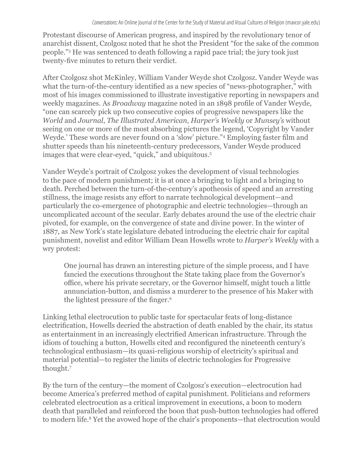Protestant discourse of American progress, and inspired by the revolutionary tenor of anarchist dissent, Czolgosz noted that he shot the President "for the sake of the common people."3 He was sentenced to death following a rapid pace trial; the jury took just twenty-five minutes to return their verdict.

After Czolgosz shot McKinley, William Vander Weyde shot Czolgosz. Vander Weyde was what the turn-of-the-century identified as a new species of "news-photographer," with most of his images commissioned to illustrate investigative reporting in newspapers and weekly magazines. As *Broadway* magazine noted in an 1898 profile of Vander Weyde, "one can scarcely pick up two consecutive copies of progressive newspapers like the *World* and *Journal*, *The Illustrated American*, *Harper's Weekly* or *Munsey's* without seeing on one or more of the most absorbing pictures the legend, 'Copyright by Vander Weyde.' These words are never found on a 'slow' picture."<sup>4</sup> Employing faster film and shutter speeds than his nineteenth-century predecessors, Vander Weyde produced images that were clear-eyed, "quick," and ubiquitous.<sup>5</sup>

Vander Weyde's portrait of Czolgosz yokes the development of visual technologies to the pace of modern punishment; it is at once a bringing to light and a bringing to death. Perched between the turn-of-the-century's apotheosis of speed and an arresting stillness, the image resists any effort to narrate technological development—and particularly the co-emergence of photographic and electric technologies—through an uncomplicated account of the secular. Early debates around the use of the electric chair pivoted, for example, on the convergence of state and divine power. In the winter of 1887, as New York's state legislature debated introducing the electric chair for capital punishment, novelist and editor William Dean Howells wrote to *Harper's Weekly* with a wry protest:

One journal has drawn an interesting picture of the simple process, and I have fancied the executions throughout the State taking place from the Governor's office, where his private secretary, or the Governor himself, might touch a little annunciation-button, and dismiss a murderer to the presence of his Maker with the lightest pressure of the finger.<sup>6</sup>

Linking lethal electrocution to public taste for spectacular feats of long-distance electrification, Howells decried the abstraction of death enabled by the chair, its status as entertainment in an increasingly electrified American infrastructure. Through the idiom of touching a button, Howells cited and reconfigured the nineteenth century's technological enthusiasm—its quasi-religious worship of electricity's spiritual and material potential—to register the limits of electric technologies for Progressive thought.7

By the turn of the century—the moment of Czolgosz's execution—electrocution had become America's preferred method of capital punishment. Politicians and reformers celebrated electrocution as a critical improvement in executions, a boon to modern death that paralleled and reinforced the boon that push-button technologies had offered to modern life.8 Yet the avowed hope of the chair's proponents—that electrocution would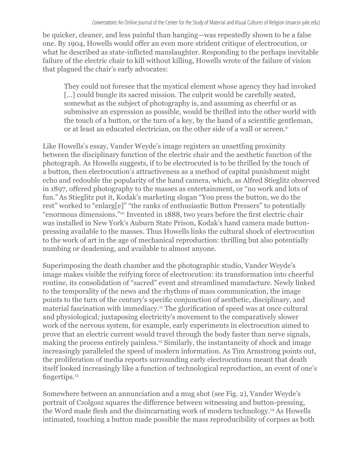be quicker, cleaner, and less painful than hanging—was repeatedly shown to be a false one. By 1904, Howells would offer an even more strident critique of electrocution, or what he described as state-inflicted manslaughter. Responding to the perhaps inevitable failure of the electric chair to kill without killing, Howells wrote of the failure of vision that plagued the chair's early advocates:

They could not foresee that the mystical element whose agency they had invoked [...] could bungle its sacred mission. The culprit would be carefully seated, somewhat as the subject of photography is, and assuming as cheerful or as submissive an expression as possible, would be thrilled into the other world with the touch of a button, or the turn of a key, by the hand of a scientific gentleman, or at least an educated electrician, on the other side of a wall or screen.9

Like Howells's essay, Vander Weyde's image registers an unsettling proximity between the disciplinary function of the electric chair and the aesthetic function of the photograph. As Howells suggests, if to be electrocuted is to be thrilled by the touch of a button, then electrocution's attractiveness as a method of capital punishment might echo and redouble the popularity of the hand camera, which, as Alfred Stieglitz observed in 1897, offered photography to the masses as entertainment, or "no work and lots of fun."As Stieglitz put it, Kodak's marketing slogan "You press the button, we do the rest" worked to "enlarg[e]" "the ranks of enthusiastic Button Pressers" to potentially "enormous dimensions."10 Invented in 1888, two years before the first electric chair was installed in New York's Auburn State Prison, Kodak's hand camera made buttonpressing available to the masses. Thus Howells links the cultural shock of electrocution to the work of art in the age of mechanical reproduction: thrilling but also potentially numbing or deadening, and available to almost anyone.

Superimposing the death chamber and the photographic studio, Vander Weyde's image makes visible the reifying force of electrocution: its transformation into cheerful routine, its consolidation of "sacred" event and streamlined manufacture. Newly linked to the temporality of the news and the rhythms of mass communication, the image points to the turn of the century's specific conjunction of aesthetic, disciplinary, and material fascination with immediacy.11 The glorification of speed was at once cultural and physiological; juxtaposing electricity's movement to the comparatively slower work of the nervous system, for example, early experiments in electrocution aimed to prove that an electric current would travel through the body faster than nerve signals, making the process entirely painless.12 Similarly, the instantaneity of shock and image increasingly paralleled the speed of modern information. As Tim Armstrong points out, the proliferation of media reports surrounding early electrocutions meant that death itself looked increasingly like a function of technological reproduction, an event of one's fingertips.<sup>13</sup>

Somewhere between an annunciation and a mug shot (see Fig. 2), Vander Weyde's portrait of Czolgosz squares the difference between witnessing and button-pressing, the Word made flesh and the disincarnating work of modern technology.14 As Howells intimated, touching a button made possible the mass reproducibility of corpses as both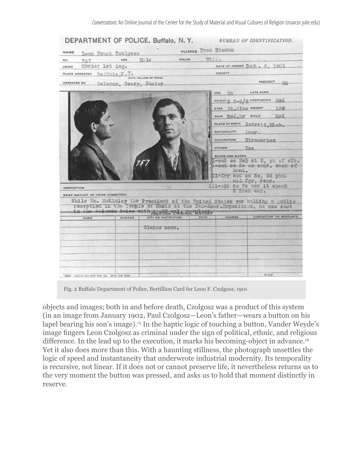| NAME                              | Leon Frank Czolgosz              | ALIASES Fred Nieman                                                                                                                                                                 |
|-----------------------------------|----------------------------------|-------------------------------------------------------------------------------------------------------------------------------------------------------------------------------------|
| NO.<br>757                        | sax 10:10                        | White<br>COLOR                                                                                                                                                                      |
| Murder 1st deg.<br><b>CRIME</b>   |                                  | DATE OF ARREST Sett. 6, 1901                                                                                                                                                        |
|                                   | PLACE ARRESTED BUSTRIO, N. Y.    | COUNTY                                                                                                                                                                              |
| <b>ARRESTED BY</b>                | Solomon, Geary, Foster           | <b>PRECINCT</b><br>-144                                                                                                                                                             |
|                                   |                                  | <b>DATE BORN</b><br>AGE<br>28                                                                                                                                                       |
|                                   |                                  | HEIGHT 5 7-5/8 COMPLEXION MOL                                                                                                                                                       |
|                                   |                                  | eves Dk.Blue weight 138                                                                                                                                                             |
|                                   |                                  | HAIR Red.Br SUILD Med                                                                                                                                                               |
|                                   |                                  | PLACE OF BIRTH Detroit, Mich.                                                                                                                                                       |
|                                   |                                  | NATIONALITY Amer.                                                                                                                                                                   |
|                                   |                                  | occupation Wireworker                                                                                                                                                               |
|                                   |                                  | CITIZEN YOR                                                                                                                                                                         |
|                                   |                                  | <b>SCARS AND MARKS</b>                                                                                                                                                              |
|                                   |                                  | 1-out so 2x <sup>3</sup> at 2, pt of elb.<br>1-out so 20 on cent. back of                                                                                                           |
|                                   |                                  | hand.<br>11-Irr cut sc 3c. 2d phal                                                                                                                                                  |
|                                   |                                  | mid fgr, rear.                                                                                                                                                                      |
| <b>DISPOSITION</b>                |                                  | 111-out so 7c ver 1t check<br>3 from ear.                                                                                                                                           |
| BRIEF HISTORY OF CRIME COMMITTED- |                                  |                                                                                                                                                                                     |
|                                   | in the audomen-twice with Shed & | While Wm. McKinley the President of the United States was holding a public<br>reception in the Temple of Music at the Pan-Amer.Exposition, he was shot<br><b>OBA AINARY RISTORY</b> |
|                                   | CITY OR INSTITUTION<br>NUMBER    | DISPOSITION OR BENTENCE<br>CHARGE<br>DATE                                                                                                                                           |
| NAME                              |                                  |                                                                                                                                                                                     |
|                                   | Claims none.                     |                                                                                                                                                                                     |
|                                   |                                  |                                                                                                                                                                                     |
|                                   |                                  |                                                                                                                                                                                     |
|                                   |                                  |                                                                                                                                                                                     |
|                                   |                                  |                                                                                                                                                                                     |

Fig. 2 Buffalo Department of Police, Bertillion Card for Leon F. Czolgosz, 1901

objects and images; both in and before death, Czolgosz was a product of this system (in an image from January 1902, Paul Czolgosz—Leon's father—wears a button on his lapel bearing his son's image).<sup>15</sup> In the haptic logic of touching a button, Vander Weyde's image fingers Leon Czolgosz as criminal under the sign of political, ethnic, and religious difference. In the lead up to the execution, it marks his becoming-object in advance.<sup>16</sup> Yet it also does more than this. With a haunting stillness, the photograph unsettles the logic of speed and instantaneity that underwrote industrial modernity. Its temporality is recursive, not linear. If it does not or cannot preserve life, it nevertheless returns us to the very moment the button was pressed, and asks us to hold that moment distinctly in reserve.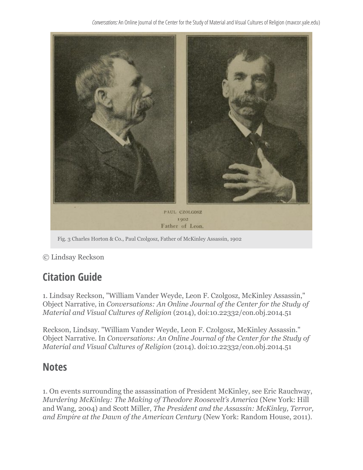*Conversations:* An Online Journal of the Center for the Study of Material and Visual Cultures of Religion (mavcor.yale.edu)



Fig. 3 Charles Horton & Co., Paul Czolgosz, Father of McKinley Assassin, 1902

© Lindsay Reckson

## **Citation Guide**

1. Lindsay Reckson, "William Vander Weyde, Leon F. Czolgosz, McKinley Assassin," Object Narrative, in *Conversations: An Online Journal of the Center for the Study of Material and Visual Cultures of Religion* (2014), doi:10.22332/con.obj.2014.51

Reckson, Lindsay. "William Vander Weyde, Leon F. Czolgosz, McKinley Assassin." Object Narrative. In *Conversations: An Online Journal of the Center for the Study of Material and Visual Cultures of Religion* (2014). doi:10.22332/con.obj.2014.51

## **Notes**

1. On events surrounding the assassination of President McKinley, see Eric Rauchway, *Murdering McKinley: The Making of Theodore Roosevelt's America* (New York: Hill and Wang, 2004) and Scott Miller, *The President and the Assassin: McKinley, Terror, and Empire at the Dawn of the American Century* (New York: Random House, 2011).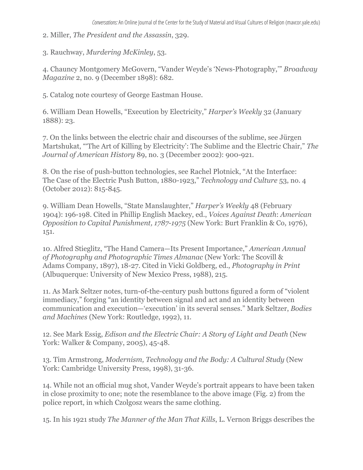- 2. Miller, *The President and the Assassin*, 329.
- 3. Rauchway, *Murdering McKinley*, 53.

4. Chauncy Montgomery McGovern, "Vander Weyde's 'News-Photography,'" *Broadway Magazine* 2, no. 9 (December 1898): 682.

5. Catalog note courtesy of George Eastman House.

6. William Dean Howells, "Execution by Electricity," *Harper's Weekly* 32 (January 1888): 23.

7. On the links between the electric chair and discourses of the sublime, see Jürgen Martshukat, "'The Art of Killing by Electricity': The Sublime and the Electric Chair," *The Journal of American History* 89, no. 3 (December 2002): 900-921.

8. On the rise of push-button technologies, see Rachel Plotnick, "At the Interface: The Case of the Electric Push Button, 1880-1923," *Technology and Culture* 53, no. 4 (October 2012): 815-845.

9. William Dean Howells, "State Manslaughter," *Harper's Weekly* 48 (February 1904): 196-198. Cited in Phillip English Mackey, ed., *Voices Against Death*: *American Opposition to Capital Punishment, 1787-1975* (New York: Burt Franklin & Co, 1976), 151.

10. Alfred Stieglitz, "The Hand Camera—Its Present Importance," *American Annual of Photography and Photographic Times Almanac* (New York: The Scovill & Adams Company, 1897), 18-27. Cited in Vicki Goldberg, ed., *Photography in Print* (Albuquerque: University of New Mexico Press, 1988), 215.

11. As Mark Seltzer notes, turn-of-the-century push buttons figured a form of "violent immediacy," forging "an identity between signal and act and an identity between communication and execution—'execution' in its several senses." Mark Seltzer, *Bodies and Machines* (New York: Routledge, 1992), 11.

12. See Mark Essig, *Edison and the Electric Chair: A Story of Light and Death* (New York: Walker & Company, 2005), 45-48.

13. Tim Armstrong, *Modernism, Technology and the Body: A Cultural Study* (New York: Cambridge University Press, 1998), 31-36.

14. While not an official mug shot, Vander Weyde's portrait appears to have been taken in close proximity to one; note the resemblance to the above image (Fig. 2) from the police report, in which Czolgosz wears the same clothing.

15. In his 1921 study *The Manner of the Man That Kills*, L. Vernon Briggs describes the